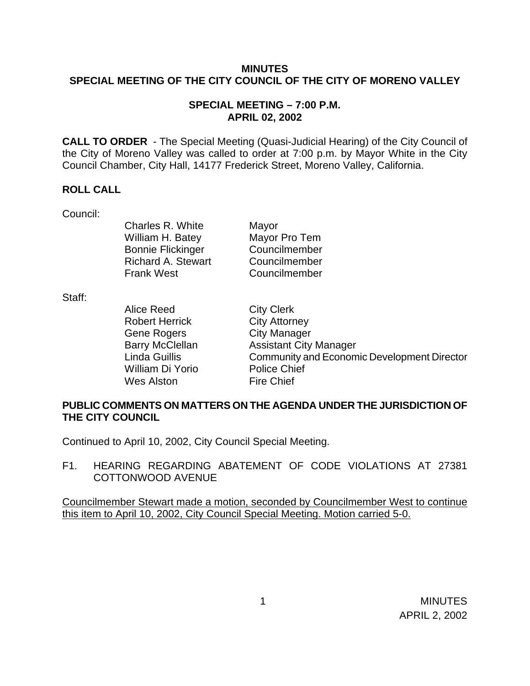## **MINUTES SPECIAL MEETING OF THE CITY COUNCIL OF THE CITY OF MORENO VALLEY**

### **SPECIAL MEETING – 7:00 P.M. APRIL 02, 2002**

**CALL TO ORDER** - The Special Meeting (Quasi-Judicial Hearing) of the City Council of the City of Moreno Valley was called to order at 7:00 p.m. by Mayor White in the City Council Chamber, City Hall, 14177 Frederick Street, Moreno Valley, California.

### **ROLL CALL**

Council:

Charles R. White Mayor William H. Batey Mayor Pro Tem Bonnie Flickinger Councilmember Richard A. Stewart Councilmember Frank West Councilmember

Staff:

Alice Reed City Clerk Robert Herrick City Attorney Gene Rogers City Manager William Di Yorio Police Chief Wes Alston Fire Chief

Barry McClellan **Assistant City Manager** Linda Guillis Community and Economic Development Director

## **PUBLIC COMMENTS ON MATTERS ON THE AGENDA UNDER THE JURISDICTION OF THE CITY COUNCIL**

Continued to April 10, 2002, City Council Special Meeting.

F1. HEARING REGARDING ABATEMENT OF CODE VIOLATIONS AT 27381 COTTONWOOD AVENUE

Councilmember Stewart made a motion, seconded by Councilmember West to continue this item to April 10, 2002, City Council Special Meeting. Motion carried 5-0.